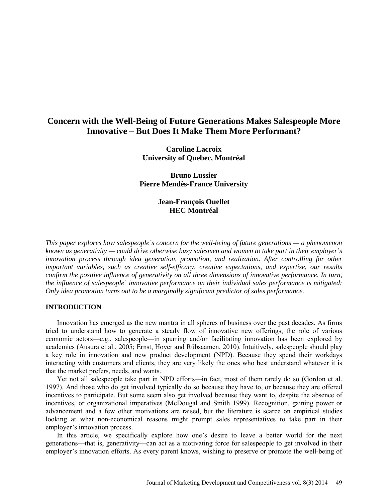# **Concern with the Well-Being of Future Generations Makes Salespeople More Innovative – But Does It Make Them More Performant?**

**Caroline Lacroix University of Quebec, Montréal**

**Bruno Lussier Pierre Mendès-France University**

> **Jean-François Ouellet HEC Montréal**

*This paper explores how salespeople's concern for the well-being of future generations — a phenomenon known as generativity — could drive otherwise busy salesmen and women to take part in their employer's innovation process through idea generation, promotion, and realization. After controlling for other important variables, such as creative self-efficacy, creative expectations, and expertise, our results confirm the positive influence of generativity on all three dimensions of innovative performance. In turn, the influence of salespeople' innovative performance on their individual sales performance is mitigated: Only idea promotion turns out to be a marginally significant predictor of sales performance.*

# **INTRODUCTION**

Innovation has emerged as the new mantra in all spheres of business over the past decades. As firms tried to understand how to generate a steady flow of innovative new offerings, the role of various economic actors—e.g., salespeople—in spurring and/or facilitating innovation has been explored by academics (Ausura et al., 2005; Ernst, Hoyer and Rübsaamen, 2010). Intuitively, salespeople should play a key role in innovation and new product development (NPD). Because they spend their workdays interacting with customers and clients, they are very likely the ones who best understand whatever it is that the market prefers, needs, and wants.

Yet not all salespeople take part in NPD efforts—in fact, most of them rarely do so (Gordon et al. 1997). And those who do get involved typically do so because they have to, or because they are offered incentives to participate. But some seem also get involved because they want to, despite the absence of incentives, or organizational imperatives (McDougal and Smith 1999). Recognition, gaining power or advancement and a few other motivations are raised, but the literature is scarce on empirical studies looking at what non-economical reasons might prompt sales representatives to take part in their employer's innovation process.

In this article, we specifically explore how one's desire to leave a better world for the next generations—that is, generativity—can act as a motivating force for salespeople to get involved in their employer's innovation efforts. As every parent knows, wishing to preserve or promote the well-being of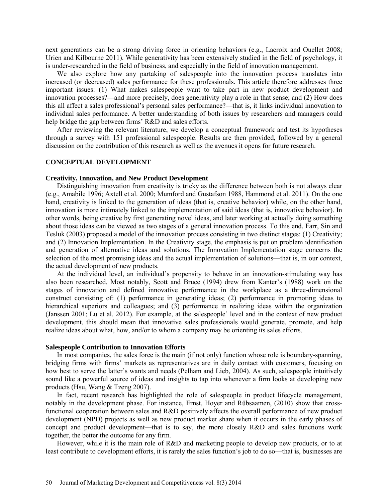next generations can be a strong driving force in orienting behaviors (e.g., Lacroix and Ouellet 2008; Urien and Kilbourne 2011). While generativity has been extensively studied in the field of psychology, it is under-researched in the field of business, and especially in the field of innovation management.

We also explore how any partaking of salespeople into the innovation process translates into increased (or decreased) sales performance for these professionals. This article therefore addresses three important issues: (1) What makes salespeople want to take part in new product development and innovation processes?—and more precisely, does generativity play a role in that sense; and (2) How does this all affect a sales professional's personal sales performance?—that is, it links individual innovation to individual sales performance. A better understanding of both issues by researchers and managers could help bridge the gap between firms' R&D and sales efforts.

After reviewing the relevant literature, we develop a conceptual framework and test its hypotheses through a survey with 151 professional salespeople. Results are then provided, followed by a general discussion on the contribution of this research as well as the avenues it opens for future research.

### **CONCEPTUAL DEVELOPMENT**

### **Creativity, Innovation, and New Product Development**

Distinguishing innovation from creativity is tricky as the difference between both is not always clear (e.g., Amabile 1996; Axtell et al. 2000; Mumford and Gustafson 1988, Hammond et al. 2011). On the one hand, creativity is linked to the generation of ideas (that is, creative behavior) while, on the other hand, innovation is more intimately linked to the implementation of said ideas (that is, innovative behavior). In other words, being creative by first generating novel ideas, and later working at actually doing something about those ideas can be viewed as two stages of a general innovation process. To this end, Farr, Sin and Tesluk (2003) proposed a model of the innovation process consisting in two distinct stages: (1) Creativity; and (2) Innovation Implementation. In the Creativity stage, the emphasis is put on problem identification and generation of alternative ideas and solutions. The Innovation Implementation stage concerns the selection of the most promising ideas and the actual implementation of solutions—that is, in our context, the actual development of new products.

At the individual level, an individual's propensity to behave in an innovation-stimulating way has also been researched. Most notably, Scott and Bruce (1994) drew from Kanter's (1988) work on the stages of innovation and defined innovative performance in the workplace as a three-dimensional construct consisting of: (1) performance in generating ideas; (2) performance in promoting ideas to hierarchical superiors and colleagues; and (3) performance in realizing ideas within the organization (Janssen 2001; Lu et al. 2012). For example, at the salespeople' level and in the context of new product development, this should mean that innovative sales professionals would generate, promote, and help realize ideas about what, how, and/or to whom a company may be orienting its sales efforts.

#### **Salespeople Contribution to Innovation Efforts**

In most companies, the sales force is the main (if not only) function whose role is boundary-spanning, bridging firms with firms' markets as representatives are in daily contact with customers, focusing on how best to serve the latter's wants and needs (Pelham and Lieb, 2004). As such, salespeople intuitively sound like a powerful source of ideas and insights to tap into whenever a firm looks at developing new products (Hsu, Wang & Tzeng 2007).

In fact, recent research has highlighted the role of salespeople in product lifecycle management, notably in the development phase. For instance, Ernst, Hoyer and Rübsaamen, (2010) show that crossfunctional cooperation between sales and R&D positively affects the overall performance of new product development (NPD) projects as well as new product market share when it occurs in the early phases of concept and product development—that is to say, the more closely R&D and sales functions work together, the better the outcome for any firm.

However, while it is the main role of R&D and marketing people to develop new products, or to at least contribute to development efforts, it is rarely the sales function's job to do so—that is, businesses are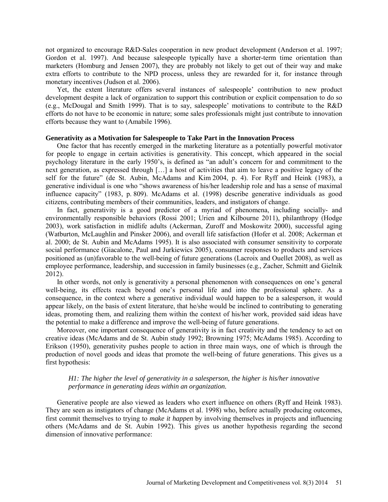not organized to encourage R&D-Sales cooperation in new product development (Anderson et al. 1997; Gordon et al. 1997). And because salespeople typically have a shorter-term time orientation than marketers (Homburg and Jensen 2007), they are probably not likely to get out of their way and make extra efforts to contribute to the NPD process, unless they are rewarded for it, for instance through monetary incentives (Judson et al. 2006).

Yet, the extent literature offers several instances of salespeople' contribution to new product development despite a lack of organization to support this contribution or explicit compensation to do so (e.g., McDougal and Smith 1999). That is to say, salespeople' motivations to contribute to the R&D efforts do not have to be economic in nature; some sales professionals might just contribute to innovation efforts because they want to (Amabile 1996).

# **Generativity as a Motivation for Salespeople to Take Part in the Innovation Process**

One factor that has recently emerged in the marketing literature as a potentially powerful motivator for people to engage in certain activities is generativity. This concept, which appeared in the social psychology literature in the early 1950's, is defined as "an adult's concern for and commitment to the next generation, as expressed through […] a host of activities that aim to leave a positive legacy of the self for the future" (de St. Aubin, McAdams and Kim 2004, p. 4). For Ryff and Heink (1983), a generative individual is one who "shows awareness of his/her leadership role and has a sense of maximal influence capacity" (1983, p. 809). McAdams et al. (1998) describe generative individuals as good citizens, contributing members of their communities, leaders, and instigators of change.

In fact, generativity is a good predictor of a myriad of phenomena, including socially- and environmentally responsible behaviors (Rossi 2001; Urien and Kilbourne 2011), philanthropy (Hodge 2003), work satisfaction in midlife adults (Ackerman, Zuroff and Moskowitz 2000), successful aging (Watburton, McLaughlin and Pinsker 2006), and overall life satisfaction (Hofer et al. 2008; Ackerman et al. 2000; de St. Aubin and McAdams 1995). It is also associated with consumer sensitivity to corporate social performance (Giacalone, Paul and Jurkiewics 2005), consumer responses to products and services positioned as (un)favorable to the well-being of future generations (Lacroix and Ouellet 2008), as well as employee performance, leadership, and succession in family businesses (e.g., Zacher, Schmitt and Gielnik 2012).

In other words, not only is generativity a personal phenomenon with consequences on one's general well-being, its effects reach beyond one's personal life and into the professional sphere. As a consequence, in the context where a generative individual would happen to be a salesperson, it would appear likely, on the basis of extent literature, that he/she would be inclined to contributing to generating ideas, promoting them, and realizing them within the context of his/her work, provided said ideas have the potential to make a difference and improve the well-being of future generations.

Moreover, one important consequence of generativity is in fact creativity and the tendency to act on creative ideas (McAdams and de St. Aubin study 1992; Browning 1975; McAdams 1985). According to Erikson (1950), generativity pushes people to action in three main ways, one of which is through the production of novel goods and ideas that promote the well-being of future generations. This gives us a first hypothesis:

# *H1: The higher the level of generativity in a salesperson, the higher is his/her innovative performance in generating ideas within an organization.*

Generative people are also viewed as leaders who exert influence on others (Ryff and Heink 1983). They are seen as instigators of change (McAdams et al. 1998) who, before actually producing outcomes, first commit themselves to trying to *make it happen* by involving themselves in projects and influencing others (McAdams and de St. Aubin 1992). This gives us another hypothesis regarding the second dimension of innovative performance: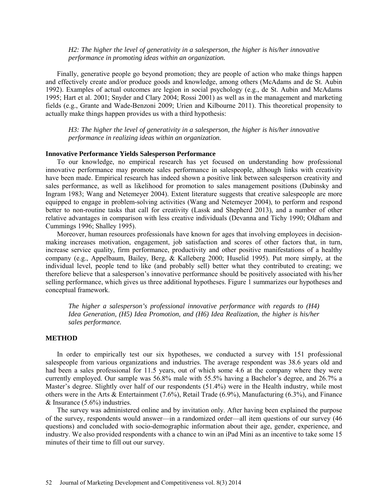# *H2: The higher the level of generativity in a salesperson, the higher is his/her innovative performance in promoting ideas within an organization.*

Finally, generative people go beyond promotion; they are people of action who make things happen and effectively create and/or produce goods and knowledge, among others (McAdams and de St. Aubin 1992). Examples of actual outcomes are legion in social psychology (e.g., de St. Aubin and McAdams 1995; Hart et al. 2001; Snyder and Clary 2004; Rossi 2001) as well as in the management and marketing fields (e.g., Grante and Wade-Benzoni 2009; Urien and Kilbourne 2011). This theoretical propensity to actually make things happen provides us with a third hypothesis:

*H3: The higher the level of generativity in a salesperson, the higher is his/her innovative performance in realizing ideas within an organization.* 

#### **Innovative Performance Yields Salesperson Performance**

To our knowledge, no empirical research has yet focused on understanding how professional innovative performance may promote sales performance in salespeople, although links with creativity have been made. Empirical research has indeed shown a positive link between salesperson creativity and sales performance, as well as likelihood for promotion to sales management positions (Dubinsky and Ingram 1983; Wang and Netemeyer 2004). Extent literature suggests that creative salespeople are more equipped to engage in problem-solving activities (Wang and Netemeyer 2004), to perform and respond better to non-routine tasks that call for creativity (Lassk and Shepherd 2013), and a number of other relative advantages in comparison with less creative individuals (Devanna and Tichy 1990; Oldham and Cummings 1996; Shalley 1995).

Moreover, human resources professionals have known for ages that involving employees in decisionmaking increases motivation, engagement, job satisfaction and scores of other factors that, in turn, increase service quality, firm performance, productivity and other positive manifestations of a healthy company (e.g., Appelbaum, Bailey, Berg, & Kalleberg 2000; Huselid 1995). Put more simply, at the individual level, people tend to like (and probably sell) better what they contributed to creating; we therefore believe that a salesperson's innovative performance should be positively associated with his/her selling performance, which gives us three additional hypotheses. Figure 1 summarizes our hypotheses and conceptual framework.

*The higher a salesperson's professional innovative performance with regards to (H4) Idea Generation, (H5) Idea Promotion, and (H6) Idea Realization, the higher is his/her sales performance.*

# **METHOD**

In order to empirically test our six hypotheses, we conducted a survey with 151 professional salespeople from various organizations and industries. The average respondent was 38.6 years old and had been a sales professional for 11.5 years, out of which some 4.6 at the company where they were currently employed. Our sample was 56.8% male with 55.5% having a Bachelor's degree, and 26.7% a Master's degree. Slightly over half of our respondents (51.4%) were in the Health industry, while most others were in the Arts & Entertainment (7.6%), Retail Trade (6.9%), Manufacturing (6.3%), and Finance  $&$  Insurance (5.6%) industries.

The survey was administered online and by invitation only. After having been explained the purpose of the survey, respondents would answer—in a randomized order—all item questions of our survey (46 questions) and concluded with socio-demographic information about their age, gender, experience, and industry. We also provided respondents with a chance to win an iPad Mini as an incentive to take some 15 minutes of their time to fill out our survey.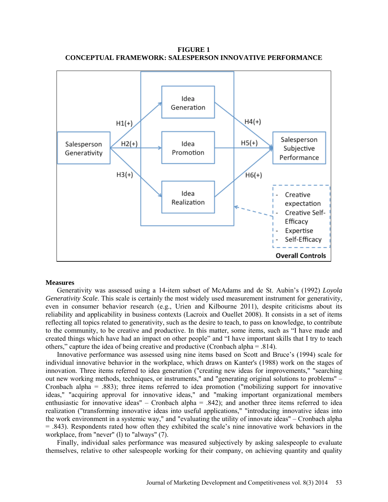

**FIGURE 1 CONCEPTUAL FRAMEWORK: SALESPERSON INNOVATIVE PERFORMANCE**

### **Measures**

Generativity was assessed using a 14-item subset of McAdams and de St. Aubin's (1992) *Loyola Generativity Scale*. This scale is certainly the most widely used measurement instrument for generativity, even in consumer behavior research (e.g., Urien and Kilbourne 2011), despite criticisms about its reliability and applicability in business contexts (Lacroix and Ouellet 2008). It consists in a set of items reflecting all topics related to generativity, such as the desire to teach, to pass on knowledge, to contribute to the community, to be creative and productive. In this matter, some items, such as "I have made and created things which have had an impact on other people" and "I have important skills that I try to teach others," capture the idea of being creative and productive (Cronbach alpha  $= .814$ ).

Innovative performance was assessed using nine items based on Scott and Bruce's (1994) scale for individual innovative behavior in the workplace, which draws on Kanter's (1988) work on the stages of innovation. Three items referred to idea generation ("creating new ideas for improvements," "searching out new working methods, techniques, or instruments," and "generating original solutions to problems" – Cronbach alpha = .883); three items referred to idea promotion ("mobilizing support for innovative ideas," "acquiring approval for innovative ideas," and "making important organizational members enthusiastic for innovative ideas" – Cronbach alpha = .842); and another three items referred to idea realization ("transforming innovative ideas into useful applications," "introducing innovative ideas into the work environment in a systemic way," and "evaluating the utility of innovate ideas" – Cronbach alpha  $=$  .843). Respondents rated how often they exhibited the scale's nine innovative work behaviors in the workplace, from "never" (1) to "always" (7).

Finally, individual sales performance was measured subjectively by asking salespeople to evaluate themselves, relative to other salespeople working for their company, on achieving quantity and quality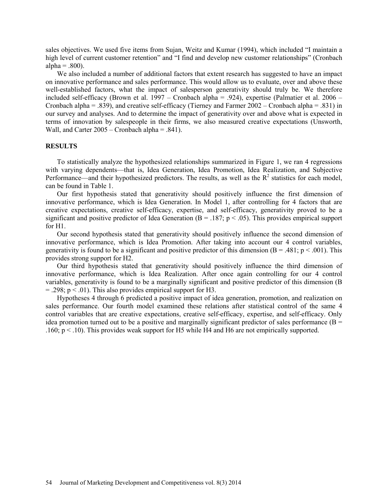sales objectives. We used five items from Sujan, Weitz and Kumar (1994), which included "I maintain a high level of current customer retention" and "I find and develop new customer relationships" (Cronbach alpha  $= .800$ ).

We also included a number of additional factors that extent research has suggested to have an impact on innovative performance and sales performance. This would allow us to evaluate, over and above these well-established factors, what the impact of salesperson generativity should truly be. We therefore included self-efficacy (Brown et al. 1997 – Cronbach alpha = .924), expertise (Palmatier et al. 2006 – Cronbach alpha = .839), and creative self-efficacy (Tierney and Farmer 2002 – Cronbach alpha = .831) in our survey and analyses. And to determine the impact of generativity over and above what is expected in terms of innovation by salespeople in their firms, we also measured creative expectations (Unsworth, Wall, and Carter 2005 – Cronbach alpha = .841).

# **RESULTS**

To statistically analyze the hypothesized relationships summarized in Figure 1, we ran 4 regressions with varying dependents—that is, Idea Generation, Idea Promotion, Idea Realization, and Subjective Performance—and their hypothesized predictors. The results, as well as the  $R<sup>2</sup>$  statistics for each model, can be found in Table 1.

Our first hypothesis stated that generativity should positively influence the first dimension of innovative performance, which is Idea Generation. In Model 1, after controlling for 4 factors that are creative expectations, creative self-efficacy, expertise, and self-efficacy, generativity proved to be a significant and positive predictor of Idea Generation ( $B = 0.187$ ; p < .05). This provides empirical support for H1.

Our second hypothesis stated that generativity should positively influence the second dimension of innovative performance, which is Idea Promotion. After taking into account our 4 control variables, generativity is found to be a significant and positive predictor of this dimension ( $B = .481$ ;  $p < .001$ ). This provides strong support for H2.

Our third hypothesis stated that generativity should positively influence the third dimension of innovative performance, which is Idea Realization. After once again controlling for our 4 control variables, generativity is found to be a marginally significant and positive predictor of this dimension (B  $= .298$ ;  $p < .01$ ). This also provides empirical support for H3.

Hypotheses 4 through 6 predicted a positive impact of idea generation, promotion, and realization on sales performance. Our fourth model examined these relations after statistical control of the same 4 control variables that are creative expectations, creative self-efficacy, expertise, and self-efficacy. Only idea promotion turned out to be a positive and marginally significant predictor of sales performance ( $B =$ .160;  $p < 0.10$ . This provides weak support for H5 while H4 and H6 are not empirically supported.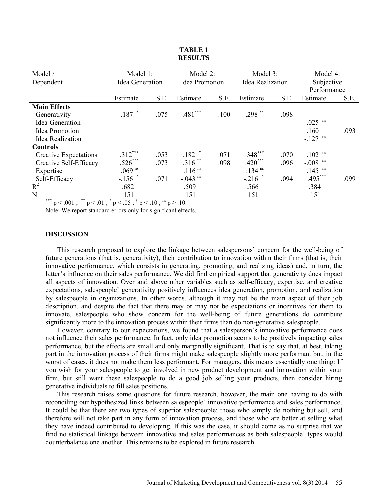| Model /                      | Model 1:             |         | Model 2:              |      | Model 3:             |      | Model 4:             |      |
|------------------------------|----------------------|---------|-----------------------|------|----------------------|------|----------------------|------|
| Dependent                    | Idea Generation      |         | <b>Idea Promotion</b> |      | Idea Realization     |      | Subjective           |      |
|                              |                      |         |                       |      |                      |      | Performance          |      |
|                              | Estimate             | S.E.    | Estimate              | S.E. | Estimate             | S.E. | Estimate             | S.E. |
| <b>Main Effects</b>          |                      |         |                       |      |                      |      |                      |      |
| Generativity                 | $.187$ $*$           | .075    | $.481***$             | .100 | .298 **              | .098 |                      |      |
| Idea Generation              |                      |         |                       |      |                      |      | $.025$ <sup>ns</sup> |      |
| Idea Promotion               |                      |         |                       |      |                      |      | .160                 | .093 |
| Idea Realization             |                      |         |                       |      |                      |      | ns<br>$-127$         |      |
| <b>Controls</b>              |                      |         |                       |      |                      |      |                      |      |
| <b>Creative Expectations</b> | $.312***$            | .053    | $.182$ $*$            | .071 | $.348***$            | .070 | ns<br>.102           |      |
| Creative Self-Efficacy       | $.526***$            | .073    | $.316$ **             | .098 | $.420***$            | .096 | ns<br>$-0.008$       |      |
| Expertise                    | $.069$ <sup>ns</sup> |         | $.116$ <sup>ns</sup>  |      | $.134$ <sup>ns</sup> |      | $.145$ <sup>ns</sup> |      |
| Self-Efficacy                | $-.156$ *            | .071    | $-.043$ <sup>ns</sup> |      | $-.216$ *            | .094 | $.495***$            | .099 |
| $R^2$                        | .682                 |         | .509                  |      | .566                 |      | .384                 |      |
| N<br>***<br>**               | 151<br>$ +$          | $-2$ no | 151                   |      | 151                  |      | 151                  |      |

#### **TABLE 1 RESULTS**

 $p < .001$ ; \*\*  $p < .01$ ; \* $p < .05$ ;  $p < .10$ ;  $p \ge .10$ .

Note: We report standard errors only for significant effects.

### **DISCUSSION**

This research proposed to explore the linkage between salespersons' concern for the well-being of future generations (that is, generativity), their contribution to innovation within their firms (that is, their innovative performance, which consists in generating, promoting, and realizing ideas) and, in turn, the latter's influence on their sales performance. We did find empirical support that generativity does impact all aspects of innovation. Over and above other variables such as self-efficacy, expertise, and creative expectations, salespeople' generativity positively influences idea generation, promotion, and realization by salespeople in organizations. In other words, although it may not be the main aspect of their job description, and despite the fact that there may or may not be expectations or incentives for them to innovate, salespeople who show concern for the well-being of future generations do contribute significantly more to the innovation process within their firms than do non-generative salespeople.

However, contrary to our expectations, we found that a salesperson's innovative performance does not influence their sales performance. In fact, only idea promotion seems to be positively impacting sales performance, but the effects are small and only marginally significant. That is to say that, at best, taking part in the innovation process of their firms might make salespeople slightly more performant but, in the worst of cases, it does not make them less performant. For managers, this means essentially one thing: If you wish for your salespeople to get involved in new product development and innovation within your firm, but still want these salespeople to do a good job selling your products, then consider hiring generative individuals to fill sales positions.

This research raises some questions for future research, however, the main one having to do with reconciling our hypothesized links between salespeople' innovative performance and sales performance. It could be that there are two types of superior salespeople: those who simply do nothing but sell, and therefore will not take part in any form of innovation process, and those who are better at selling what they have indeed contributed to developing. If this was the case, it should come as no surprise that we find no statistical linkage between innovative and sales performances as both salespeople' types would counterbalance one another. This remains to be explored in future research.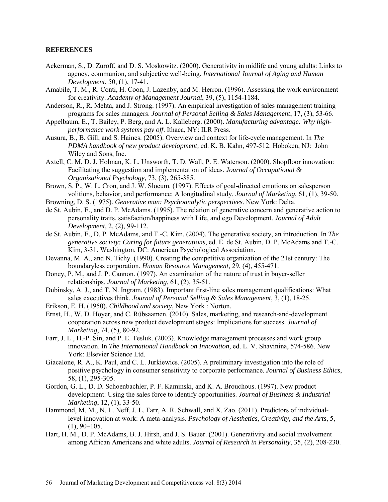### **REFERENCES**

- Ackerman, S., D. Zuroff, and D. S. Moskowitz. (2000). Generativity in midlife and young adults: Links to agency, communion, and subjective well-being. *International Journal of Aging and Human Development*, 50, (1), 17-41.
- Amabile, T. M., R. Conti, H. Coon, J. Lazenby, and M. Herron. (1996). Assessing the work environment for creativity. *Academy of Management Journal*, 39, (5), 1154-1184.
- Anderson, R., R. Mehta, and J. Strong. (1997). An empirical investigation of sales management training programs for sales managers. *Journal of Personal Selling & Sales Management*, 17, (3), 53-66.
- Appelbaum, E., T. Bailey, P. Berg, and A. L. Kalleberg. (2000). *Manufacturing advantage: Why highperformance work systems pay off*. Ithaca, NY: ILR Press.
- Ausura, B., B. Gill, and S. Haines. (2005). Overview and context for life-cycle management. In *The PDMA handbook of new product development,* ed. K. B. Kahn, 497-512. Hoboken, NJ: John Wiley and Sons, Inc.
- Axtell, C. M, D. J. Holman, K. L. Unsworth, T. D. Wall, P. E. Waterson. (2000). Shopfloor innovation: Facilitating the suggestion and implementation of ideas. *Journal of Occupational & Organizational Psychology*, 73, (3), 265-385.
- Brown, S. P., W. L. Cron, and J. W. Slocum. (1997). Effects of goal-directed emotions on salesperson volitions, behavior, and performance: A longitudinal study. *Journal of Marketing*, 61, (1), 39-50.
- Browning, D. S. (1975). *Generative man: Psychoanalytic perspectives.* New York: Delta.
- de St. Aubin, E., and D. P. McAdams. (1995). The relation of generative concern and generative action to personality traits, satisfaction/happiness with Life, and ego Development. *Journal of Adult Development*, 2, (2), 99-112.
- de St. Aubin, E., D. P. McAdams, and T.-C. Kim. (2004). The generative society, an introduction. In *The generative society: Caring for future generations*, ed. E. de St. Aubin, D. P. McAdams and T.-C. Kim, 3-31. Washington, DC: American Psychological Association.
- Devanna, M. A., and N. Tichy. (1990). Creating the competitive organization of the 21st century: The boundaryless corporation. *Human Resource Management*, 29, (4), 455-471.
- Doney, P. M., and J. P. Cannon. (1997). An examination of the nature of trust in buyer-seller relationships. *Journal of Marketing*, 61, (2), 35-51.
- Dubinsky, A. J., and T. N. Ingram. (1983). Important first-line sales management qualifications: What sales executives think. *Journal of Personal Selling & Sales Management*, 3, (1), 18-25.
- Erikson, E. H. (1950). *Childhood and society*, New York : Norton.
- Ernst, H., W. D. Hoyer, and C. Rübsaamen. (2010). Sales, marketing, and research-and-development cooperation across new product development stages: Implications for success. *Journal of Marketing*, 74, (5), 80-92.
- Farr, J. L., H.-P. Sin, and P. E. Tesluk. (2003). Knowledge management processes and work group innovation. In *The International Handbook on Innovation*, ed. L. V. Shavinina, 574-586. New York: Elsevier Science Ltd.
- Giacalone, R. A., K. Paul, and C. L. Jurkiewics. (2005). A preliminary investigation into the role of positive psychology in consumer sensitivity to corporate performance. *Journal of Business Ethics*, 58, (1), 295-305.
- Gordon, G. L., D. D. Schoenbachler, P. F. Kaminski, and K. A. Brouchous. (1997). New product development: Using the sales force to identify opportunities. *Journal of Business & Industrial Marketing*, 12, (1), 33-50.
- Hammond, M. M., N. L. Neff, J. L. Farr, A. R. Schwall, and X. Zao. (2011). Predictors of individuallevel innovation at work: A meta-analysis. *Psychology of Aesthetics, Creativity, and the Arts*, 5,  $(1), 90-105.$
- Hart, H. M., D. P. McAdams, B. J. Hirsh, and J. S. Bauer. (2001). Generativity and social involvement among African Americans and white adults. *Journal of Research in Personality*, 35, (2), 208-230.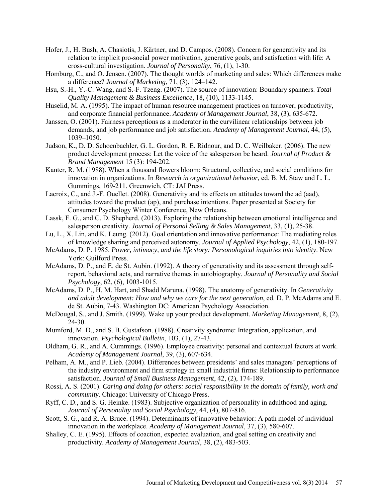- Hofer, J., H. Bush, A. Chasiotis, J. Kärtner, and D. Campos. (2008). Concern for generativity and its relation to implicit pro-social power motivation, generative goals, and satisfaction with life: A cross-cultural investigation. *Journal of Personality*, 76, (1), 1-30.
- Homburg, C., and O. Jensen. (2007). The thought worlds of marketing and sales: Which differences make a difference? *Journal of Marketing*, 71, (3), 124–142.
- Hsu, S.-H., Y.-C. Wang, and S.-F. Tzeng. (2007). The source of innovation: Boundary spanners. *Total Quality Management & Business Excellence*, 18, (10), 1133-1145.
- Huselid, M. A. (1995). The impact of human resource management practices on turnover, productivity, and corporate financial performance. *Academy of Management Journal*, 38, (3), 635-672.
- Janssen, O. (2001). Fairness perceptions as a moderator in the curvilinear relationships between job demands, and job performance and job satisfaction. *Academy of Management Journal*, 44, (5), 1039–1050.
- Judson, K., D. D. Schoenbachler, G. L. Gordon, R. E. Ridnour, and D. C. Weilbaker. (2006). The new product development process: Let the voice of the salesperson be heard. *Journal of Product & Brand Management* 15 (3): 194-202.
- Kanter, R. M. (1988). When a thousand flowers bloom: Structural, collective, and social conditions for innovation in organizations. In *Research in organizational behavior,* ed. B. M. Staw and L. L. Gummings, 169-211. Greenwich, CT: JAI Press.
- Lacroix, C., and J.-F. Ouellet. (2008). Generativity and its effects on attitudes toward the ad (aad), attitudes toward the product (ap), and purchase intentions. Paper presented at Society for Consumer Psychology Winter Conference, New Orleans.
- Lassk, F. G., and C. D. Shepherd. (2013). Exploring the relationship between emotional intelligence and salesperson creativity. *Journal of Personal Selling & Sales Management*, 33, (1), 25-38.
- Lu, L., X. Lin, and K. Leung. (2012). Goal orientation and innovative performance: The mediating roles of knowledge sharing and perceived autonomy. *Journal of Applied Psychology*, 42, (1), 180-197.
- McAdams, D. P. 1985. *Power, intimacy, and the life story: Personological inquiries into identity*. New York: Guilford Press.
- McAdams, D. P., and E. de St. Aubin. (1992). A theory of generativity and its assessment through selfreport, behavioral acts, and narrative themes in autobiography. *Journal of Personality and Social Psychology*, 62, (6), 1003-1015.
- McAdams, D. P., H. M. Hart, and Shadd Maruna. (1998). The anatomy of generativity. In *Generativity and adult development: How and why we care for the next generation*, ed. D. P. McAdams and E. de St. Aubin, 7-43. Washington DC: American Psychology Association.
- McDougal, S., and J. Smith. (1999). Wake up your product development. *Marketing Management*, 8, (2), 24-30.
- Mumford, M. D., and S. B. Gustafson. (1988). Creativity syndrome: Integration, application, and innovation. *Psychological Bulletin*, 103, (1), 27-43.
- Oldham, G. R., and A. Cummings. (1996). Employee creativity: personal and contextual factors at work. *Academy of Management Journal*, 39, (3), 607-634.
- Pelham, A. M., and P. Lieb. (2004). Differences between presidents' and sales managers' perceptions of the industry environment and firm strategy in small industrial firms: Relationship to performance satisfaction. *Journal of Small Business Management*, 42, (2), 174-189.
- Rossi, A. S. (2001). *Caring and doing for others: social responsibility in the domain of family, work and community*. Chicago: University of Chicago Press.
- Ryff, C. D., and S. G. Heinke. (1983). Subjective organization of personality in adulthood and aging. *Journal of Personality and Social Psychology*, 44, (4), 807-816.
- Scott, S. G., and R. A. Bruce. (1994). Determinants of innovative behavior: A path model of individual innovation in the workplace. *Academy of Management Journal*, 37, (3), 580-607.
- Shalley, C. E. (1995). Effects of coaction, expected evaluation, and goal setting on creativity and productivity*. Academy of Management Journal*, 38, (2), 483-503.